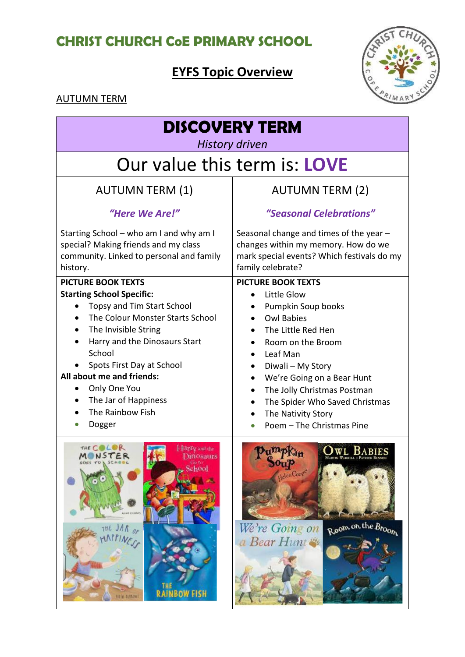## **CHRIST CHURCH CoE PRIMARY SCHOOL**

# **EYFS Topic Overview**



#### AUTUMN TERM

| <b>DISCOVERY TERM</b><br><b>History driven</b>                                                                                                                                                                                                                                                                                                  |                                                                                                                                                                                                                                                                                                                                                                                    |  |
|-------------------------------------------------------------------------------------------------------------------------------------------------------------------------------------------------------------------------------------------------------------------------------------------------------------------------------------------------|------------------------------------------------------------------------------------------------------------------------------------------------------------------------------------------------------------------------------------------------------------------------------------------------------------------------------------------------------------------------------------|--|
| Our value this term is: <b>LOVE</b>                                                                                                                                                                                                                                                                                                             |                                                                                                                                                                                                                                                                                                                                                                                    |  |
| <b>AUTUMN TERM (1)</b>                                                                                                                                                                                                                                                                                                                          | <b>AUTUMN TERM (2)</b>                                                                                                                                                                                                                                                                                                                                                             |  |
| "Here We Are!"                                                                                                                                                                                                                                                                                                                                  | "Seasonal Celebrations"                                                                                                                                                                                                                                                                                                                                                            |  |
| Starting School – who am I and why am I<br>special? Making friends and my class<br>community. Linked to personal and family<br>history.                                                                                                                                                                                                         | Seasonal change and times of the year $-$<br>changes within my memory. How do we<br>mark special events? Which festivals do my<br>family celebrate?                                                                                                                                                                                                                                |  |
| <b>PICTURE BOOK TEXTS</b><br><b>Starting School Specific:</b><br>Topsy and Tim Start School<br>$\bullet$<br>The Colour Monster Starts School<br>The Invisible String<br>Harry and the Dinosaurs Start<br>School<br>Spots First Day at School<br>All about me and friends:<br>Only One You<br>The Jar of Happiness<br>The Rainbow Fish<br>Dogger | <b>PICTURE BOOK TEXTS</b><br>Little Glow<br>Pumpkin Soup books<br><b>Owl Babies</b><br>The Little Red Hen<br>Room on the Broom<br>$\bullet$<br>Leaf Man<br>$\bullet$<br>Diwali - My Story<br>We're Going on a Bear Hunt<br>$\bullet$<br>The Jolly Christmas Postman<br>$\bullet$<br>The Spider Who Saved Christmas<br>$\bullet$<br>The Nativity Story<br>Poem - The Christmas Pine |  |
| Harry and the<br>hnosaurs<br>School<br>THE JAR OF<br>APPINES<br>THE RAINBOW FISH<br><b>NILFA AURAOW</b>                                                                                                                                                                                                                                         | Helen Cooper<br>Room on the Broom<br>We're Going on<br>a Bear Hunt                                                                                                                                                                                                                                                                                                                 |  |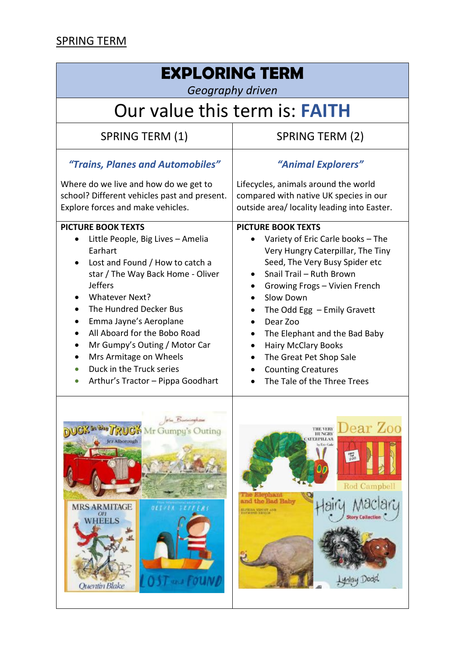### SPRING TERM

ш

| <b>EXPLORING TERM</b><br>Geography driven                                                                                                                                                                                                                                                                                                                                                                                              |                                                                                                                                                                                                                                                                                                                                                                                                                                                                             |  |
|----------------------------------------------------------------------------------------------------------------------------------------------------------------------------------------------------------------------------------------------------------------------------------------------------------------------------------------------------------------------------------------------------------------------------------------|-----------------------------------------------------------------------------------------------------------------------------------------------------------------------------------------------------------------------------------------------------------------------------------------------------------------------------------------------------------------------------------------------------------------------------------------------------------------------------|--|
| Our value this term is: <b>FAITH</b>                                                                                                                                                                                                                                                                                                                                                                                                   |                                                                                                                                                                                                                                                                                                                                                                                                                                                                             |  |
| <b>SPRING TERM (1)</b>                                                                                                                                                                                                                                                                                                                                                                                                                 | SPRING TERM (2)                                                                                                                                                                                                                                                                                                                                                                                                                                                             |  |
| "Trains, Planes and Automobiles"<br>Where do we live and how do we get to<br>school? Different vehicles past and present.<br>Explore forces and make vehicles.                                                                                                                                                                                                                                                                         | "Animal Explorers"<br>Lifecycles, animals around the world<br>compared with native UK species in our<br>outside area/ locality leading into Easter.                                                                                                                                                                                                                                                                                                                         |  |
| <b>PICTURE BOOK TEXTS</b><br>Little People, Big Lives - Amelia<br>$\bullet$<br>Earhart<br>Lost and Found / How to catch a<br>$\bullet$<br>star / The Way Back Home - Oliver<br><b>Jeffers</b><br><b>Whatever Next?</b><br>The Hundred Decker Bus<br>Emma Jayne's Aeroplane<br>All Aboard for the Bobo Road<br>Mr Gumpy's Outing / Motor Car<br>Mrs Armitage on Wheels<br>Duck in the Truck series<br>Arthur's Tractor - Pippa Goodhart | <b>PICTURE BOOK TEXTS</b><br>Variety of Eric Carle books - The<br>$\bullet$<br>Very Hungry Caterpillar, The Tiny<br>Seed, The Very Busy Spider etc<br>Snail Trail - Ruth Brown<br>Growing Frogs - Vivien French<br>٠<br>Slow Down<br>The Odd Egg $-$ Emily Gravett<br>$\bullet$<br>Dear Zoo<br>The Elephant and the Bad Baby<br><b>Hairy McClary Books</b><br>$\bullet$<br>The Great Pet Shop Sale<br>$\bullet$<br><b>Counting Creatures</b><br>The Tale of the Three Trees |  |
| olu Barningham<br>UCK in the TRUCH Mr Gumpy's Outing<br>Jcz Alborough<br><b>MRS ARMITAGE</b><br>OLIVER TEF<br>On <sub>1</sub><br><b>WHEELS</b><br>OST use FOUND<br>Quentin Blake                                                                                                                                                                                                                                                       | Dear Zoo<br>THE VERY<br>HUNGRY<br><b>CATERPILLAR</b><br>by Eric Carle<br>$\frac{100}{200}$<br>00<br>Rod Campbell<br>The Elephant<br>and the Bad Baby<br>Aaclary<br>all<br><b>SLEEDA VIPONT AND</b><br>ENTWIND ERIOGE<br><b>Story Collection</b><br>ynlay Dodd                                                                                                                                                                                                               |  |